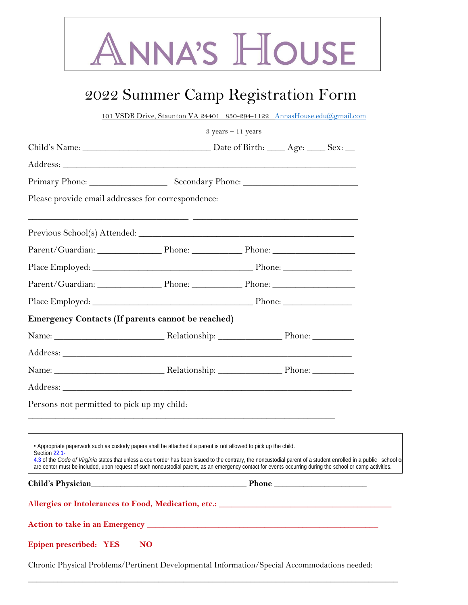

# 2022 Summer Camp Registration Form

101 VSDB Drive, Staunton VA 24401 850-294-1122 [AnnasHouse.edu@gmail.com](mailto:AnnasHouse.edu@gmail.com)

 $3$  years – 11 years

| Please provide email addresses for correspondence:                                                              |                                                                                                                                                                                                                                                                                                                                                                                                                                                     |  |  |  |
|-----------------------------------------------------------------------------------------------------------------|-----------------------------------------------------------------------------------------------------------------------------------------------------------------------------------------------------------------------------------------------------------------------------------------------------------------------------------------------------------------------------------------------------------------------------------------------------|--|--|--|
|                                                                                                                 | <u> 1999 - Jan James James James (f. 1989)</u>                                                                                                                                                                                                                                                                                                                                                                                                      |  |  |  |
| Parent/Guardian: Phone: Phone: Phone: Phone: Phone:                                                             |                                                                                                                                                                                                                                                                                                                                                                                                                                                     |  |  |  |
|                                                                                                                 |                                                                                                                                                                                                                                                                                                                                                                                                                                                     |  |  |  |
| Parent/Guardian: Phone: Phone: Phone: Phone: Phone:                                                             |                                                                                                                                                                                                                                                                                                                                                                                                                                                     |  |  |  |
|                                                                                                                 |                                                                                                                                                                                                                                                                                                                                                                                                                                                     |  |  |  |
| <b>Emergency Contacts (If parents cannot be reached)</b>                                                        |                                                                                                                                                                                                                                                                                                                                                                                                                                                     |  |  |  |
| Name: Name: Name: Name: Nelationship: Name: Name: Name: Name: Name: Name: Name: Name: Name: Name: Name: Name: N |                                                                                                                                                                                                                                                                                                                                                                                                                                                     |  |  |  |
|                                                                                                                 |                                                                                                                                                                                                                                                                                                                                                                                                                                                     |  |  |  |
| Name: Name: Name: Name: Nelationship: Name: Name: Name: Name: Name: Name: Name: Name: Name: Name: Name: Name: N |                                                                                                                                                                                                                                                                                                                                                                                                                                                     |  |  |  |
|                                                                                                                 |                                                                                                                                                                                                                                                                                                                                                                                                                                                     |  |  |  |
| Persons not permitted to pick up my child:                                                                      |                                                                                                                                                                                                                                                                                                                                                                                                                                                     |  |  |  |
|                                                                                                                 |                                                                                                                                                                                                                                                                                                                                                                                                                                                     |  |  |  |
| Section 22.1-                                                                                                   | • Appropriate paperwork such as custody papers shall be attached if a parent is not allowed to pick up the child.<br>4.3 of the Code of Virginia states that unless a court order has been issued to the contrary, the noncustodial parent of a student enrolled in a public school of<br>are center must be included, upon request of such noncustodial parent, as an emergency contact for events occurring during the school or camp activities. |  |  |  |
|                                                                                                                 |                                                                                                                                                                                                                                                                                                                                                                                                                                                     |  |  |  |
| Allergies or Intolerances to Food, Medication, etc.: ____________________________                               |                                                                                                                                                                                                                                                                                                                                                                                                                                                     |  |  |  |
|                                                                                                                 |                                                                                                                                                                                                                                                                                                                                                                                                                                                     |  |  |  |
| <b>Epipen prescribed: YES</b>                                                                                   | N <sub>O</sub>                                                                                                                                                                                                                                                                                                                                                                                                                                      |  |  |  |
| Chronic Physical Problems/Pertinent Developmental Information/Special Accommodations needed:                    |                                                                                                                                                                                                                                                                                                                                                                                                                                                     |  |  |  |

\_\_\_\_\_\_\_\_\_\_\_\_\_\_\_\_\_\_\_\_\_\_\_\_\_\_\_\_\_\_\_\_\_\_\_\_\_\_\_\_\_\_\_\_\_\_\_\_\_\_\_\_\_\_\_\_\_\_\_\_\_\_\_\_\_\_\_\_\_\_\_\_\_\_\_\_\_\_\_\_\_\_\_\_\_\_\_\_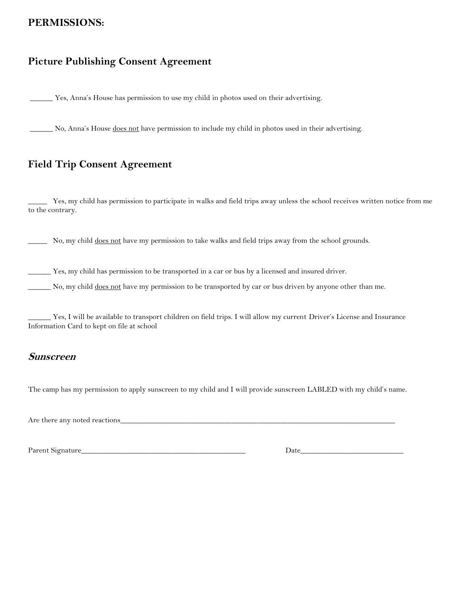## **PERMISSIONS:**

## **Picture Publishing Consent Agreement**

\_\_\_\_\_\_ Yes, Anna's House has permission to use my child in photos used on their advertising.

No, Anna's House does not have permission to include my child in photos used in their advertising.

## **Field Trip Consent Agreement**

\_\_\_\_\_ Yes, my child has permission to participate in walks and field trips away unless the school receives written notice from me to the contrary.

No, my child does not have my permission to take walks and field trips away from the school grounds.

\_\_\_\_\_\_ Yes, my child has permission to be transported in a car or bus by a licensed and insured driver.

No, my child does not have my permission to be transported by car or bus driven by anyone other than me.

\_\_\_\_\_\_ Yes, I will be available to transport children on field trips. I will allow my current Driver's License and Insurance Information Card to kept on file at school

#### **Sunscreen**

The camp has my permission to apply sunscreen to my child and I will provide sunscreen LABLED with my child's name.

Are there any noted reactions\_

Parent Signature\_\_\_\_\_\_\_\_\_\_\_\_\_\_\_\_\_\_\_\_\_\_\_\_\_\_\_\_\_\_\_\_\_\_\_\_\_\_\_\_\_\_\_ Date\_\_\_\_\_\_\_\_\_\_\_\_\_\_\_\_\_\_\_\_\_\_\_\_\_\_\_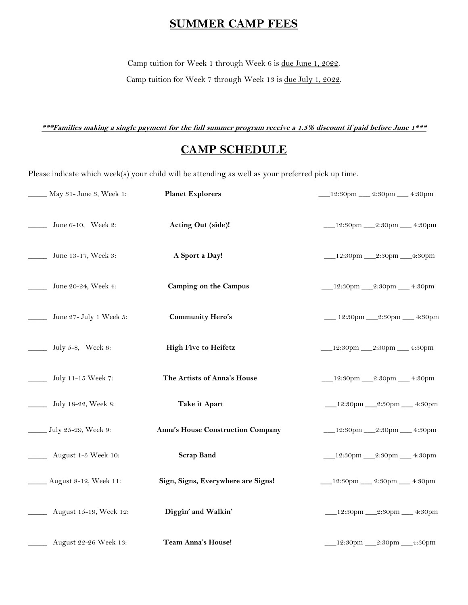# **SUMMER CAMP FEES**

Camp tuition for Week 1 through Week 6 is due June 1, 2022.

Camp tuition for Week 7 through Week 13 is due July 1, 2022.

**\*\*\*Families making a single payment for the full summer program receive a 1.5% discount if paid before June 1\*\*\***

# **CAMP SCHEDULE**

Please indicate which week(s) your child will be attending as well as your preferred pick up time.

| May 31- June 3, Week 1:       | <b>Planet Explorers</b>            | 12:30pm __ 2:30pm __ 4:30pm         |
|-------------------------------|------------------------------------|-------------------------------------|
| June 6-10, Week 2:            | Acting Out (side)!                 | ___12:30pm ___2:30pm ___ 4:30pm     |
| June 13-17, Week 3:           | A Sport a Day!                     | __12:30pm __2:30pm __4:30pm         |
| June 20-24, Week 4:           | <b>Camping on the Campus</b>       | ___12:30pm ___2:30pm ___ 4:30pm     |
| _____ June 27- July 1 Week 5: | <b>Community Hero's</b>            | __ 12:30pm __ 2:30pm __ 4:30pm      |
| July 5-8, Week 6:             | <b>High Five to Heifetz</b>        | ___12:30pm ___2:30pm ___ 4:30pm     |
| July 11-15 Week 7:            | The Artists of Anna's House        | ___12:30pm ___2:30pm ___ 4:30pm     |
| July 18-22, Week 8:           | Take it Apart                      | ____12:30pm ____2:30pm _____ 4:30pm |
| July 25-29, Week 9:           | Anna's House Construction Company  | ____12:30pm ____2:30pm _____ 4:30pm |
| August 1-5 Week 10:           | <b>Scrap Band</b>                  | ____12:30pm ____2:30pm _____ 4:30pm |
| ___ August 8-12, Week 11:     | Sign, Signs, Everywhere are Signs! | ___12:30pm ___ 2:30pm ___ 4:30pm    |
| August 15-19, Week 12:        | Diggin' and Walkin'                | __12:30pm __2:30pm __ 4:30pm        |
| August 22-26 Week 13:         | <b>Team Anna's House!</b>          |                                     |